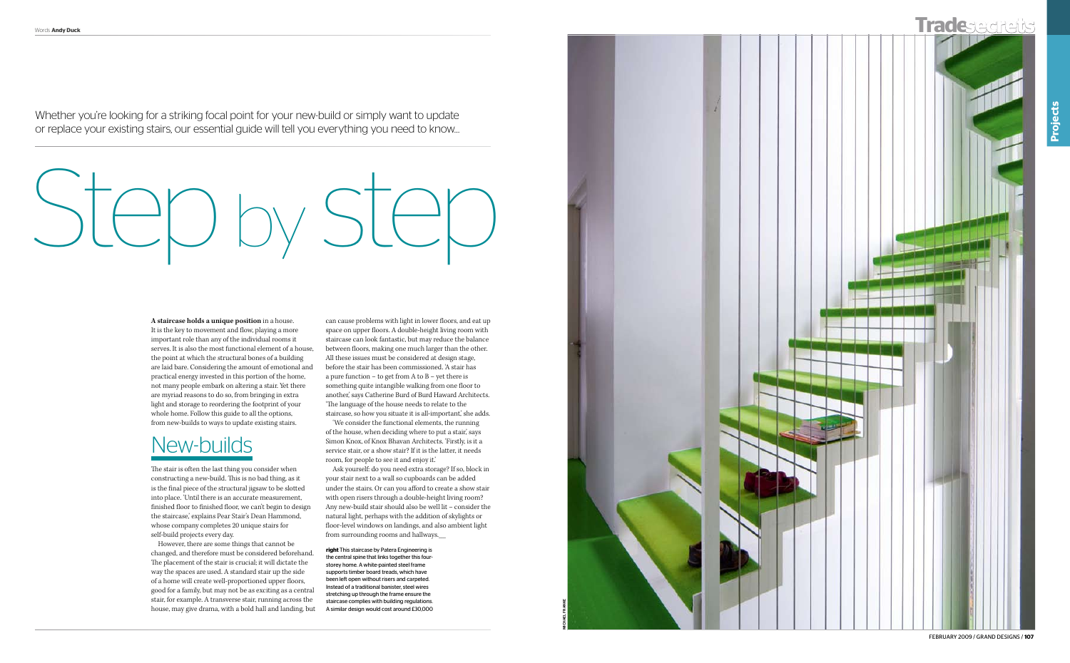

february 2009 / grand designs / **107**



Whether you're looking for a striking focal point for your new-build or simply want to update or replace your existing stairs, our essential guide will tell you everything you need to know…

# Step by step

**right** This staircase by Patera Engineering is the central spine that links together this fourstorey home. A white-painted steel frame supports timber board treads, which have been left open without risers and carpeted. Instead of a traditional banister, steel wires stretching up through the frame ensure the staircase complies with building regulations. A similar design would cost around £30,000

**A staircase holds a unique position** in a house. It is the key to movement and flow, playing a more important role than any of the individual rooms it serves. It is also the most functional element of a house, the point at which the structural bones of a building are laid bare. Considering the amount of emotional and practical energy invested in this portion of the home, not many people embark on altering a stair. Yet there are myriad reasons to do so, from bringing in extra light and storage to reordering the footprint of your whole home. Follow this guide to all the options, from new-builds to ways to update existing stairs.

# New-builds

The stair is often the last thing you consider when constructing a new-build. This is no bad thing, as it is the final piece of the structural jigsaw to be slotted into place. 'Until there is an accurate measurement, finished floor to finished floor, we can't begin to design the staircase,' explains Pear Stair's Dean Hammond, whose company completes 20 unique stairs for self-build projects every day.

However, there are some things that cannot be changed, and therefore must be considered beforehand. The placement of the stair is crucial; it will dictate the way the spaces are used. A standard stair up the side of a home will create well-proportioned upper floors, good for a family, but may not be as exciting as a central stair, for example. A transverse stair, running across the house, may give drama, with a bold hall and landing, but

can cause problems with light in lower floors, and eat up space on upper floors. A double-height living room with staircase can look fantastic, but may reduce the balance between floors, making one much larger than the other. All these issues must be considered at design stage, before the stair has been commissioned. 'A stair has a pure function – to get from A to B – yet there is something quite intangible walking from one floor to another,' says Catherine Burd of Burd Haward Architects. 'The language of the house needs to relate to the staircase, so how you situate it is all-important,' she adds.

'We consider the functional elements, the running of the house, when deciding where to put a stair, says Simon Knox, of Knox Bhavan Architects. 'Firstly, is it a service stair, or a show stair? If it is the latter, it needs room, for people to see it and enjoy it.'

Ask yourself: do you need extra storage? If so, block in your stair next to a wall so cupboards can be added under the stairs. Or can you afford to create a show stair with open risers through a double-height living room? Any new-build stair should also be well lit – consider the natural light, perhaps with the addition of skylights or floor-level windows on landings, and also ambient light from surrounding rooms and hallways.\_\_\_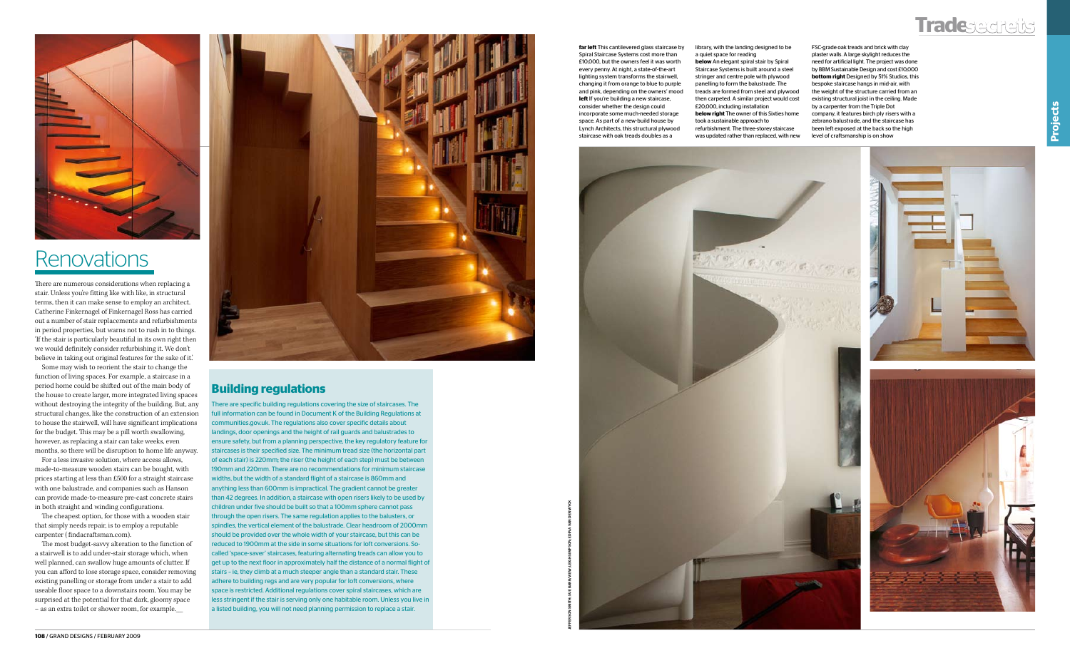

# **Renovations**



There are numerous considerations when replacing a stair. Unless you're fitting like with like, in structural terms, then it can make sense to employ an architect. Catherine Finkernagel of Finkernagel Ross has carried out a number of stair replacements and refurbishments in period properties, but warns not to rush in to things. 'If the stair is particularly beautiful in its own right then we would definitely consider refurbishing it. We don't believe in taking out original features for the sake of it.'

Some may wish to reorient the stair to change the function of living spaces. For example, a staircase in a period home could be shifted out of the main body of the house to create larger, more integrated living spaces without destroying the integrity of the building. But, any structural changes, like the construction of an extension to house the stairwell, will have significant implications for the budget. This may be a pill worth swallowing, however, as replacing a stair can take weeks, even months, so there will be disruption to home life anyway.

For a less invasive solution, where access allows, made-to-measure wooden stairs can be bought, with prices starting at less than £500 for a straight staircase with one balustrade, and companies such as Hanson can provide made-to-measure pre-cast concrete stairs in both straight and winding configurations.

The cheapest option, for those with a wooden stair that simply needs repair, is to employ a reputable carpenter ( findacraftsman.com).

The most budget-savvy alteration to the function of a stairwell is to add under-stair storage which, when well planned, can swallow huge amounts of clutter. If you can afford to lose storage space, consider removing existing panelling or storage from under a stair to add useable floor space to a downstairs room. You may be surprised at the potential for that dark, gloomy space – as an extra toilet or shower room, for example.\_\_\_



**far left** This cantilevered glass staircase by Spiral Staircase Systems cost more than £10,000, but the owners feel it was worth every penny. At night, a state-of-the-art lighting system transforms the stairwell, changing it from orange to blue to purple and pink, depending on the owners' mood **left** If you're building a new staircase, consider whether the design could incorporate some much-needed storage space. As part of a new-build house by Lynch Architects, this structural plywood staircase with oak treads doubles as a

There are specific building regulations covering the size of staircases. The full information can be found in Document K of the Building Regulations at communities.gov.uk. The regulations also cover specific details about landings, door openings and the height of rail guards and balustrades to ensure safety, but from a planning perspective, the key regulatory feature for staircases is their specified size. The minimum tread size (the horizontal part of each stair) is 220mm; the riser (the height of each step) must be between 190mm and 220mm. There are no recommendations for minimum staircase widths, but the width of a standard flight of a staircase is 860mm and anything less than 600mm is impractical. The gradient cannot be greater than 42 degrees. In addition, a staircase with open risers likely to be used by children under five should be built so that a 100mm sphere cannot pass through the open risers. The same regulation applies to the balusters, or spindles, the vertical element of the balustrade. Clear headroom of 2000mm should be provided over the whole width of your staircase, but this can be reduced to 1900mm at the side in some situations for loft conversions. Socalled 'space-saver' staircases, featuring alternating treads can allow you to get up to the next floor in approximately half the distance of a normal flight of stairs – ie, they climb at a much steeper angle than a standard stair. These adhere to building regs and are very popular for loft conversions, where space is restricted. Additional regulations cover spiral staircases, which are less stringent if the stair is serving only one habitable room. Unless you live in a listed building, you will not need planning permission to replace a stair.

### **Building regulations**

library, with the landing designed to be a quiet space for reading **below** An elegant spiral stair by Spiral Staircase Systems is built around a steel stringer and centre pole with plywood panelling to form the balustrade. The treads are formed from steel and plywood then carpeted. A similar project would cost £20,000, including installation **below right** The owner of this Sixties home took a sustainable approach to refurbishment. The three-storey staircase was updated rather than replaced, with new



FSC-grade oak treads and brick with clay plaster walls. A large skylight reduces the need for artificial light. The project was done by BBM Sustainable Design and cost £10,000 **bottom right** Designed by 51% Studios, this bespoke staircase hangs in mid-air, with the weight of the structure carried from an existing structural joist in the ceiling. Made by a carpenter from the Triple Dot company, it features birch ply risers with a zebrano balustrade, and the staircase has been left exposed at the back so the high level of craftsmanship is on show

jefferson smith; sue barr/view; leigh simpson; edina van der wyck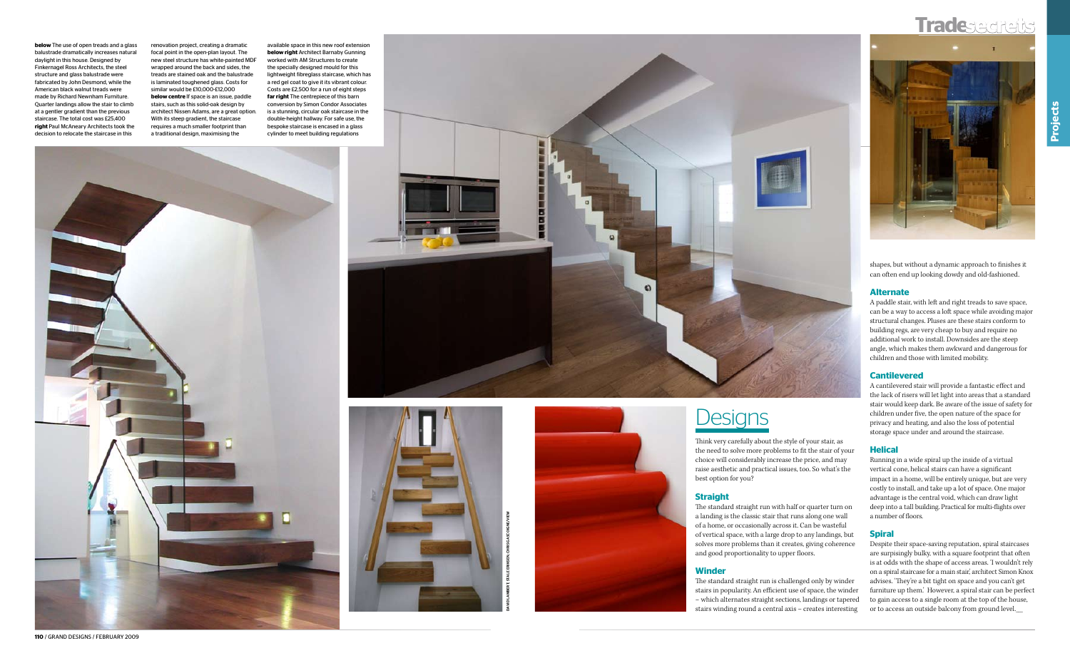# **Tradesecrets**



**110** / grand designs / february 2009



Think very carefully about the style of your stair, as the need to solve more problems to fit the stair of your choice will considerably increase the price, and may raise aesthetic and practical issues, too. So what's the best option for you?

### **Straight**

The standard straight run with half or quarter turn on a landing is the classic stair that runs along one wall of a home, or occasionally across it. Can be wasteful of vertical space, with a large drop to any landings, but solves more problems than it creates, giving coherence and good proportionality to upper floors.

### **Winder**

The standard straight run is challenged only by winder stairs in popularity. An efficient use of space, the winder – which alternates straight sections, landings or tapered stairs winding round a central axis – creates interesting shapes, but without a dynamic approach to finishes it can often end up looking dowdy and old-fashioned.

### **Alternate**

A paddle stair, with left and right treads to save space, can be a way to access a loft space while avoiding major structural changes. Pluses are these stairs conform to building regs, are very cheap to buy and require no additional work to install. Downsides are the steep angle, which makes them awkward and dangerous for children and those with limited mobility.

### **Cantilevered**

A cantilevered stair will provide a fantastic effect and the lack of risers will let light into areas that a standard stair would keep dark. Be aware of the issue of safety for children under five, the open nature of the space for privacy and heating, and also the loss of potential storage space under and around the staircase.

### **Helical**

Running in a wide spiral up the inside of a virtual vertical cone, helical stairs can have a significant impact in a home, will be entirely unique, but are very costly to install, and take up a lot of space. One major advantage is the central void, which can draw light deep into a tall building. Practical for multi-flights over a number of floors.

### **Spiral**

Despite their space-saving reputation, spiral staircases are surpisingly bulky, with a square footprint that often is at odds with the shape of access areas. 'I wouldn't rely on a spiral staircase for a main stair,' architect Simon Knox advises. 'They're a bit tight on space and you can't get furniture up them.' However, a spiral stair can be perfect to gain access to a single room at the top of the house, or to access an outside balcony from ground level.\_\_\_

**below** The use of open treads and a glass balustrade dramatically increases natural daylight in this house. Designed by Finkernagel Ross Architects, the steel structure and glass balustrade were fabricated by John Desmond, while the American black walnut treads were made by Richard Newnham Furniture. Quarter landings allow the stair to climb at a gentler gradient than the previous staircase. The total cost was £25,400 **right** Paul McAneary Architects took the decision to relocate the staircase in this

renovation project, creating a dramatic focal point in the open-plan layout. The new steel structure has white-painted MDF wrapped around the back and sides, the treads are stained oak and the balustrade is laminated toughened glass. Costs for similar would be £10,000-£12,000 **below centre** If space is an issue, paddle stairs, such as this solid-oak design by architect Nissen Adams, are a great option. With its steep gradient, the staircase requires a much smaller footprint than a traditional design, maximising the

available space in this new roof extension **below right** Architect Barnaby Gunning worked with AM Structures to create the specially designed mould for this lightweight fibreglass staircase, which has a red gel coat to give it its vibrant colour. Costs are £2,500 for a run of eight steps **far right** The centrepiece of this barn conversion by Simon Condor Associates is a stunning, circular oak staircase in the double-height hallway. For safe use, the bespoke staircase is encased in a glass cylinder to meet building regulations